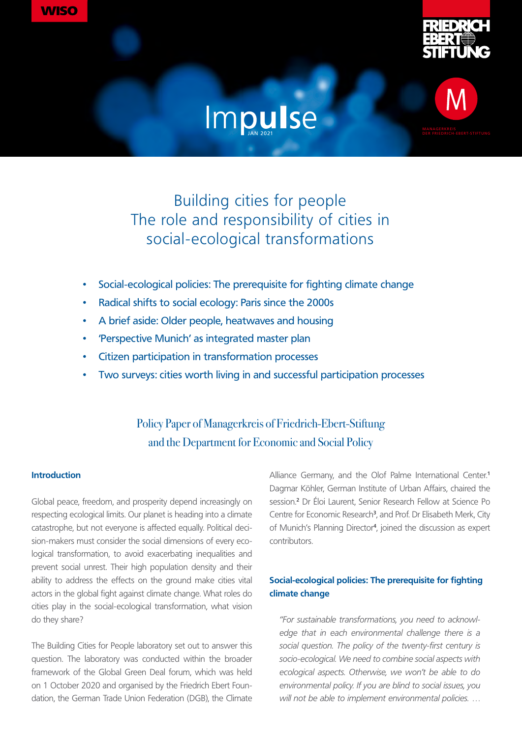



# Impulse



# Building cities for people The role and responsibility of cities in social-ecological transformations

- Social-ecological policies: The prerequisite for fighting climate change
- Radical shifts to social ecology: Paris since the 2000s
- A brief aside: Older people, heatwaves and housing
- 'Perspective Munich' as integrated master plan
- Citizen participation in transformation processes
- Two surveys: cities worth living in and successful participation processes

# Policy Paper of Managerkreis of Friedrich-Ebert-Stiftung and the Department for Economic and Social Policy

#### **Introduction**

Global peace, freedom, and prosperity depend increasingly on respecting ecological limits. Our planet is heading into a climate catastrophe, but not everyone is affected equally. Political decision-makers must consider the social dimensions of every ecological transformation, to avoid exacerbating inequalities and prevent social unrest. Their high population density and their ability to address the effects on the ground make cities vital actors in the global fight against climate change. What roles do cities play in the social-ecological transformation, what vision do they share?

The Building Cities for People laboratory set out to answer this question. The laboratory was conducted within the broader framework of the Global Green Deal forum, which was held on 1 October 2020 and organised by the Friedrich Ebert Foundation, the German Trade Union Federation (DGB), the Climate

Alliance Germany, and the Olof Palme International Center.**<sup>1</sup>** Dagmar Köhler, German Institute of Urban Affairs, chaired the session.**<sup>2</sup>** Dr Éloi Laurent, Senior Research Fellow at Science Po Centre for Economic Research**<sup>3</sup>** , and Prof. Dr Elisabeth Merk, City of Munich's Planning Director**<sup>4</sup>** , joined the discussion as expert contributors.

# **Social-ecological policies: The prerequisite for fighting climate change**

*"For sustainable transformations, you need to acknowledge that in each environmental challenge there is a social question. The policy of the twenty-first century is socio-ecological. We need to combine social aspects with ecological aspects. Otherwise, we won't be able to do environmental policy. If you are blind to social issues, you will not be able to implement environmental policies. …*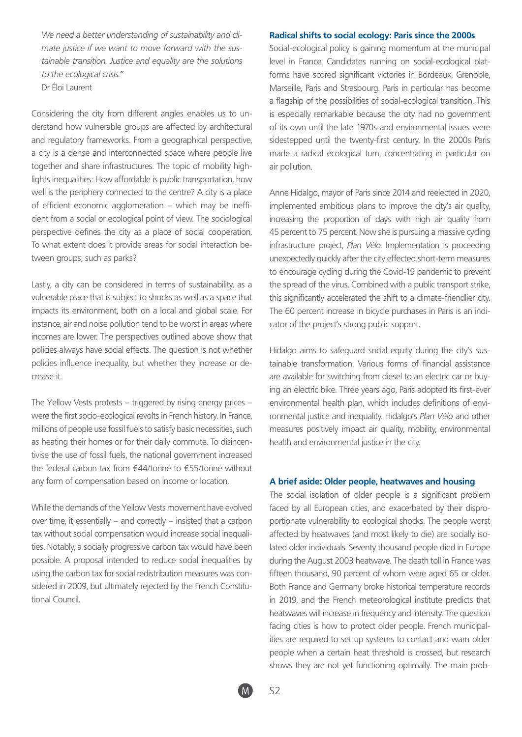*We need a better understanding of sustainability and climate justice if we want to move forward with the sustainable transition. Justice and equality are the solutions to the ecological crisis."*  Dr Éloi Laurent

Considering the city from different angles enables us to understand how vulnerable groups are affected by architectural and regulatory frameworks. From a geographical perspective, a city is a dense and interconnected space where people live together and share infrastructures. The topic of mobility highlights inequalities: How affordable is public transportation, how well is the periphery connected to the centre? A city is a place of efficient economic agglomeration – which may be inefficient from a social or ecological point of view. The sociological perspective defines the city as a place of social cooperation. To what extent does it provide areas for social interaction between groups, such as parks?

Lastly, a city can be considered in terms of sustainability, as a vulnerable place that is subject to shocks as well as a space that impacts its environment, both on a local and global scale. For instance, air and noise pollution tend to be worst in areas where incomes are lower. The perspectives outlined above show that policies always have social effects. The question is not whether policies influence inequality, but whether they increase or decrease it.

The Yellow Vests protests – triggered by rising energy prices – were the first socio-ecological revolts in French history. In France, millions of people use fossil fuels to satisfy basic necessities, such as heating their homes or for their daily commute. To disincentivise the use of fossil fuels, the national government increased the federal carbon tax from €44/tonne to €55/tonne without any form of compensation based on income or location.

While the demands of the Yellow Vests movement have evolved over time, it essentially – and correctly – insisted that a carbon tax without social compensation would increase social inequalities. Notably, a socially progressive carbon tax would have been possible. A proposal intended to reduce social inequalities by using the carbon tax for social redistribution measures was considered in 2009, but ultimately rejected by the French Constitutional Council.

#### **Radical shifts to social ecology: Paris since the 2000s**

Social-ecological policy is gaining momentum at the municipal level in France. Candidates running on social-ecological platforms have scored significant victories in Bordeaux, Grenoble, Marseille, Paris and Strasbourg. Paris in particular has become a flagship of the possibilities of social-ecological transition. This is especially remarkable because the city had no government of its own until the late 1970s and environmental issues were sidestepped until the twenty-first century. In the 2000s Paris made a radical ecological turn, concentrating in particular on air pollution.

Anne Hidalgo, mayor of Paris since 2014 and reelected in 2020, implemented ambitious plans to improve the city's air quality, increasing the proportion of days with high air quality from 45 percent to 75 percent. Now she is pursuing a massive cycling infrastructure project, *Plan Vélo*. Implementation is proceeding unexpectedly quickly after the city effected short-term measures to encourage cycling during the Covid-19 pandemic to prevent the spread of the virus. Combined with a public transport strike, this significantly accelerated the shift to a climate-friendlier city. The 60 percent increase in bicycle purchases in Paris is an indicator of the project's strong public support.

Hidalgo aims to safeguard social equity during the city's sustainable transformation. Various forms of financial assistance are available for switching from diesel to an electric car or buying an electric bike. Three years ago, Paris adopted its first-ever environmental health plan, which includes definitions of environmental justice and inequality. Hidalgo's *Plan Vélo* and other measures positively impact air quality, mobility, environmental health and environmental justice in the city.

#### **A brief aside: Older people, heatwaves and housing**

The social isolation of older people is a significant problem faced by all European cities, and exacerbated by their disproportionate vulnerability to ecological shocks. The people worst affected by heatwaves (and most likely to die) are socially isolated older individuals. Seventy thousand people died in Europe during the August 2003 heatwave. The death toll in France was fifteen thousand, 90 percent of whom were aged 65 or older. Both France and Germany broke historical temperature records in 2019, and the French meteorological institute predicts that heatwaves will increase in frequency and intensity. The question facing cities is how to protect older people. French municipalities are required to set up systems to contact and warn older people when a certain heat threshold is crossed, but research shows they are not yet functioning optimally. The main prob-

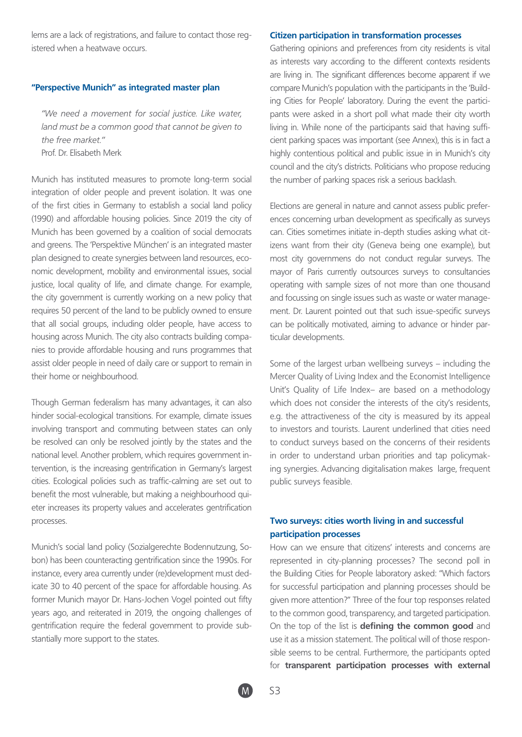lems are a lack of registrations, and failure to contact those registered when a heatwave occurs.

#### **"Perspective Munich" as integrated master plan**

*"We need a movement for social justice. Like water, land must be a common good that cannot be given to the free market."*  Prof. Dr. Elisabeth Merk

Munich has instituted measures to promote long-term social integration of older people and prevent isolation. It was one of the first cities in Germany to establish a social land policy (1990) and affordable housing policies. Since 2019 the city of Munich has been governed by a coalition of social democrats and greens. The 'Perspektive München' is an integrated master plan designed to create synergies between land resources, economic development, mobility and environmental issues, social justice, local quality of life, and climate change. For example, the city government is currently working on a new policy that requires 50 percent of the land to be publicly owned to ensure that all social groups, including older people, have access to housing across Munich. The city also contracts building companies to provide affordable housing and runs programmes that assist older people in need of daily care or support to remain in their home or neighbourhood.

Though German federalism has many advantages, it can also hinder social-ecological transitions. For example, climate issues involving transport and commuting between states can only be resolved can only be resolved jointly by the states and the national level. Another problem, which requires government intervention, is the increasing gentrification in Germany's largest cities. Ecological policies such as traffic-calming are set out to benefit the most vulnerable, but making a neighbourhood quieter increases its property values and accelerates gentrification processes.

Munich's social land policy (Sozialgerechte Bodennutzung, Sobon) has been counteracting gentrification since the 1990s. For instance, every area currently under (re)development must dedicate 30 to 40 percent of the space for affordable housing. As former Munich mayor Dr. Hans-Jochen Vogel pointed out fifty years ago, and reiterated in 2019, the ongoing challenges of gentrification require the federal government to provide substantially more support to the states.

#### **Citizen participation in transformation processes**

Gathering opinions and preferences from city residents is vital as interests vary according to the different contexts residents are living in. The significant differences become apparent if we compare Munich's population with the participants in the 'Building Cities for People' laboratory. During the event the participants were asked in a short poll what made their city worth living in. While none of the participants said that having sufficient parking spaces was important (see Annex), this is in fact a highly contentious political and public issue in in Munich's city council and the city's districts. Politicians who propose reducing the number of parking spaces risk a serious backlash.

Elections are general in nature and cannot assess public preferences concerning urban development as specifically as surveys can. Cities sometimes initiate in-depth studies asking what citizens want from their city (Geneva being one example), but most city governmens do not conduct regular surveys. The mayor of Paris currently outsources surveys to consultancies operating with sample sizes of not more than one thousand and focussing on single issues such as waste or water management. Dr. Laurent pointed out that such issue-specific surveys can be politically motivated, aiming to advance or hinder particular developments.

Some of the largest urban wellbeing surveys – including the Mercer Quality of Living Index and the Economist Intelligence Unit's Quality of Life Index– are based on a methodology which does not consider the interests of the city's residents, e.g. the attractiveness of the city is measured by its appeal to investors and tourists. Laurent underlined that cities need to conduct surveys based on the concerns of their residents in order to understand urban priorities and tap policymaking synergies. Advancing digitalisation makes large, frequent public surveys feasible.

## **Two surveys: cities worth living in and successful participation processes**

How can we ensure that citizens' interests and concerns are represented in city-planning processes? The second poll in the Building Cities for People laboratory asked: "Which factors for successful participation and planning processes should be given more attention?" Three of the four top responses related to the common good, transparency, and targeted participation. On the top of the list is **defining the common good** and use it as a mission statement. The political will of those responsible seems to be central. Furthermore, the participants opted for **transparent participation processes with external** 

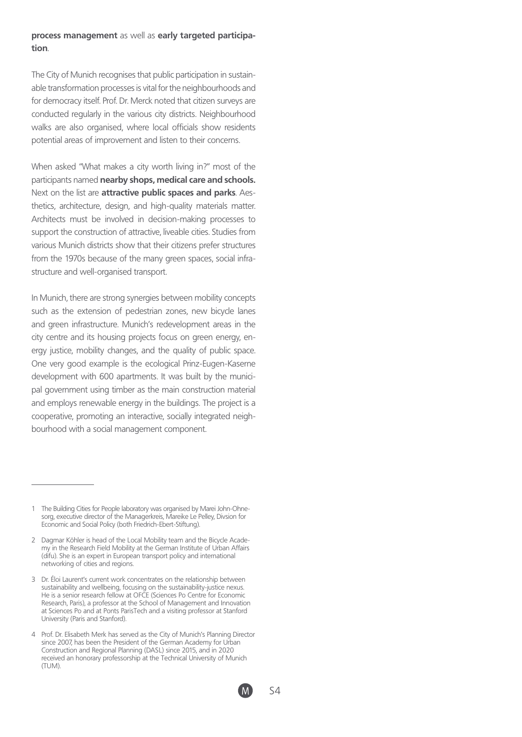#### **process management** as well as **early targeted participation**.

The City of Munich recognises that public participation in sustainable transformation processes is vital for the neighbourhoods and for democracy itself. Prof. Dr. Merck noted that citizen surveys are conducted regularly in the various city districts. Neighbourhood walks are also organised, where local officials show residents potential areas of improvement and listen to their concerns.

When asked "What makes a city worth living in?" most of the participants named **nearby shops, medical care and schools.** Next on the list are **attractive public spaces and parks**. Aesthetics, architecture, design, and high-quality materials matter. Architects must be involved in decision-making processes to support the construction of attractive, liveable cities. Studies from various Munich districts show that their citizens prefer structures from the 1970s because of the many green spaces, social infrastructure and well-organised transport.

In Munich, there are strong synergies between mobility concepts such as the extension of pedestrian zones, new bicycle lanes and green infrastructure. Munich's redevelopment areas in the city centre and its housing projects focus on green energy, energy justice, mobility changes, and the quality of public space. One very good example is the ecological Prinz-Eugen-Kaserne development with 600 apartments. It was built by the municipal government using timber as the main construction material and employs renewable energy in the buildings. The project is a cooperative, promoting an interactive, socially integrated neighbourhood with a social management component.

The Building Cities for People laboratory was organised by Marei John-Ohnesorg, executive director of the Managerkreis, Mareike Le Pelley, Divsion for Economic and Social Policy (both Friedrich-Ebert-Stiftung).

<sup>2</sup> Dagmar Köhler is head of the Local Mobility team and the Bicycle Academy in the Research Field Mobility at the German Institute of Urban Affairs (difu). She is an expert in European transport policy and international networking of cities and regions.

<sup>3</sup> Dr. Éloi Laurent's current work concentrates on the relationship between sustainability and wellbeing, focusing on the sustainability-justice nexus. He is a senior research fellow at OFCE (Sciences Po Centre for Economic Research, Paris), a professor at the School of Management and Innovation at Sciences Po and at Ponts ParisTech and a visiting professor at Stanford University (Paris and Stanford).

<sup>4</sup> Prof. Dr. Elisabeth Merk has served as the City of Munich's Planning Director since 2007, has been the President of the German Academy for Urban Construction and Regional Planning (DASL) since 2015, and in 2020 received an honorary professorship at the Technical University of Munich (TUM).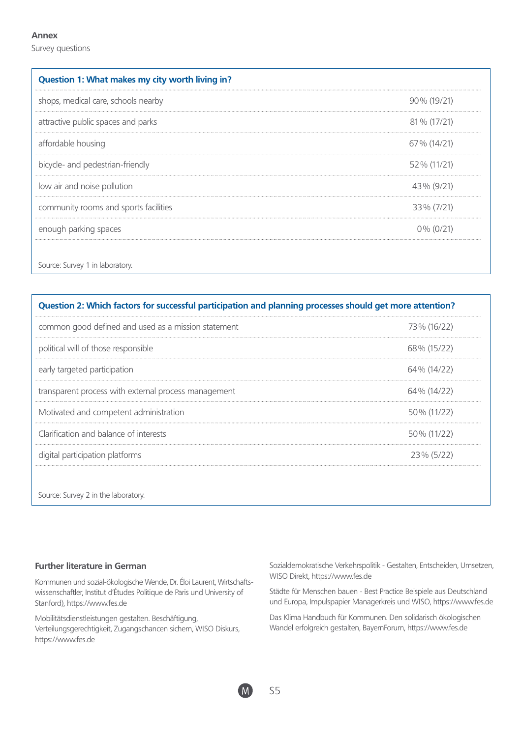#### **Annex**

Survey questions

| Question 1: What makes my city worth living in? |              |
|-------------------------------------------------|--------------|
| shops, medical care, schools nearby             | 90% (19/21)  |
| attractive public spaces and parks              | 81 % (17/21) |
| affordable housing                              | 67% (14/21)  |
| bicycle- and pedestrian-friendly                | 52% (11/21)  |
| low air and noise pollution                     | 43% (9/21)   |
| community rooms and sports facilities           | 33% (7/21)   |
| enough parking spaces                           | $0\%$ (0/21) |

| Question 2: Which factors for successful participation and planning processes should get more attention? |             |
|----------------------------------------------------------------------------------------------------------|-------------|
| common good defined and used as a mission statement                                                      | 73% (16/22) |
| political will of those responsible                                                                      | 68% (15/22) |
| early targeted participation                                                                             | 64% (14/22) |
| transparent process with external process management                                                     | 64% (14/22) |
| Motivated and competent administration                                                                   | 50% (11/22) |
| Clarification and balance of interests                                                                   | 50% (11/22) |
| digital participation platforms                                                                          | 23% (5/22)  |

Source: Survey 2 in the laboratory.

# **Further literature in German**

Kommunen und sozial-ökologische Wende, Dr. Éloi Laurent, Wirtschaftswissenschaftler, Institut d'Études Politique de Paris und University of Stanford), https://www.fes.de

Mobilitätsdienstleistungen gestalten. Beschäftigung, Verteilungsgerechtigkeit, Zugangschancen sichern, WISO Diskurs, https://www.fes.de

Sozialdemokratische Verkehrspolitik - Gestalten, Entscheiden, Umsetzen, WISO Direkt, https://www.fes.de

Städte für Menschen bauen - Best Practice Beispiele aus Deutschland und Europa, Impulspapier Managerkreis und WISO, https://www.fes.de

Das Klima Handbuch für Kommunen. Den solidarisch ökologischen Wandel erfolgreich gestalten, BayernForum, https://www.fes.de